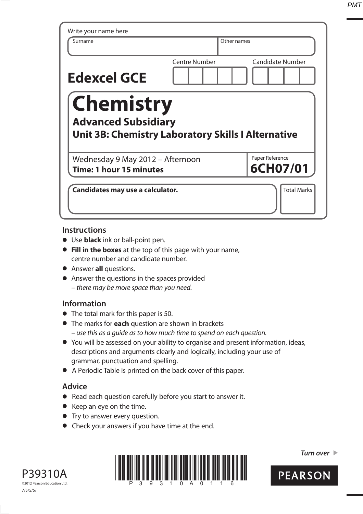*PMT*

| Surname                                                                                       |               | Other names             |
|-----------------------------------------------------------------------------------------------|---------------|-------------------------|
| <b>Edexcel GCE</b>                                                                            | Centre Number | <b>Candidate Number</b> |
| <b>Chemistry</b><br><b>Advanced Subsidiary</b>                                                |               |                         |
| <b>Unit 3B: Chemistry Laboratory Skills I Alternative</b><br>Wednesday 9 May 2012 - Afternoon |               | Paper Reference         |
| Time: 1 hour 15 minutes                                                                       |               | 6CH07/01                |

#### **Instructions**

- **t** Use **black** ink or ball-point pen.
- **Fill in the boxes** at the top of this page with your name, centre number and candidate number.
- **•** Answer **all** questions.
- **•** Answer the questions in the spaces provided – there may be more space than you need.

# **Information**

- **•** The total mark for this paper is 50.
- **t** The marks for **each** question are shown in brackets – use this as a guide as to how much time to spend on each question.
- **t** You will be assessed on your ability to organise and present information, ideas, descriptions and arguments clearly and logically, including your use of grammar, punctuation and spelling.
- **t** A Periodic Table is printed on the back cover of this paper.

# **Advice**

- **•** Read each question carefully before you start to answer it.
- **•** Keep an eye on the time.
- **•** Try to answer every question.
- **•** Check your answers if you have time at the end.



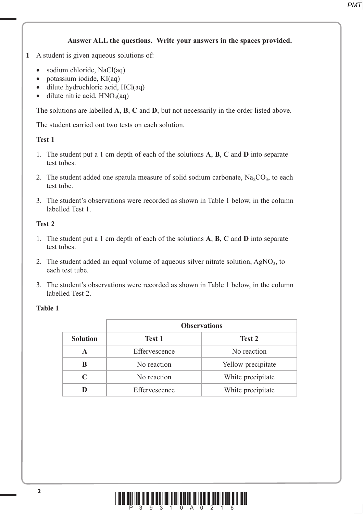# **Answer ALL the questions. Write your answers in the spaces provided.**

- **1** A student is given aqueous solutions of:
	- $\bullet$ sodium chloride, NaCl(aq)
	- $\bullet$ potassium iodide, KI(aq)
	- $\bullet$ dilute hydrochloric acid, HCl(aq)
	- $\bullet$ dilute nitric acid,  $HNO<sub>3</sub>(aq)$

The solutions are labelled **A**, **B**, **C** and **D**, but not necessarily in the order listed above.

The student carried out two tests on each solution.

### **Test 1**

- 1. The student put a 1 cm depth of each of the solutions **A**, **B**, **C** and **D** into separate test tubes.
- 2. The student added one spatula measure of solid sodium carbonate,  $Na<sub>2</sub>CO<sub>3</sub>$ , to each test tube.
- 3. The student's observations were recorded as shown in Table 1 below, in the column labelled Test 1.

#### **Test 2**

- 1. The student put a 1 cm depth of each of the solutions **A**, **B**, **C** and **D** into separate test tubes.
- 2. The student added an equal volume of aqueous silver nitrate solution,  $AgNO_3$ , to each test tube.
- 3. The student's observations were recorded as shown in Table 1 below, in the column labelled Test 2.

#### **Table 1**

|                 |               | <b>Observations</b> |
|-----------------|---------------|---------------------|
| <b>Solution</b> | Test 1        | Test 2              |
| A               | Effervescence | No reaction         |
| в               | No reaction   | Yellow precipitate  |
| $\mathbb{C}$    | No reaction   | White precipitate   |
| D               | Effervescence | White precipitate   |

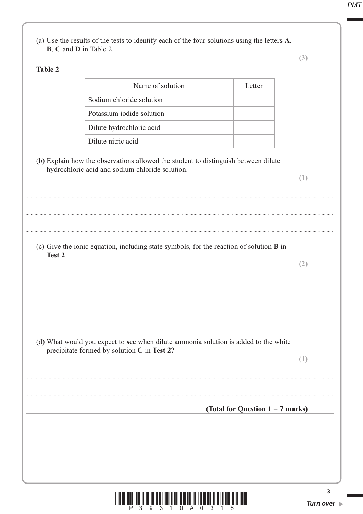| <b>Table 2</b> |                                                                                                                                       |        |     |
|----------------|---------------------------------------------------------------------------------------------------------------------------------------|--------|-----|
|                | Name of solution                                                                                                                      | Letter |     |
|                | Sodium chloride solution                                                                                                              |        |     |
|                | Potassium iodide solution                                                                                                             |        |     |
|                | Dilute hydrochloric acid                                                                                                              |        |     |
|                | Dilute nitric acid                                                                                                                    |        |     |
|                | (b) Explain how the observations allowed the student to distinguish between dilute<br>hydrochloric acid and sodium chloride solution. |        | (1) |
|                |                                                                                                                                       |        |     |
| Test 2.        | (c) Give the ionic equation, including state symbols, for the reaction of solution <b>B</b> in                                        |        | (2) |
|                | (d) What would you expect to see when dilute ammonia solution is added to the white<br>precipitate formed by solution C in Test 2?    |        | (1) |

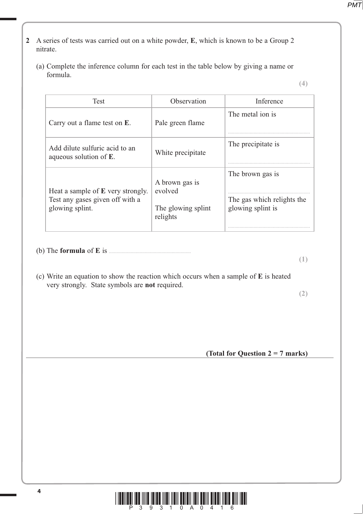- **2** A series of tests was carried out on a white powder, **E**, which is known to be a Group 2 nitrate.
	- (a) Complete the inference column for each test in the table below by giving a name or formula.

**(4)**

| Test                                                                                           | Observation                                                 | Inference                                                           |
|------------------------------------------------------------------------------------------------|-------------------------------------------------------------|---------------------------------------------------------------------|
| Carry out a flame test on $E$ .                                                                | Pale green flame                                            | The metal ion is                                                    |
| Add dilute sulfuric acid to an<br>aqueous solution of $E$ .                                    | White precipitate                                           | The precipitate is                                                  |
| Heat a sample of <b>E</b> very strongly.<br>Test any gases given off with a<br>glowing splint. | A brown gas is<br>evolved<br>The glowing splint<br>relights | The brown gas is<br>The gas which relights the<br>glowing splint is |

(b) The **formula** of **E** is ................................................................

**(1)**

 (c) Write an equation to show the reaction which occurs when a sample of **E** is heated very strongly. State symbols are **not** required.

**(2)**

**(Total for Question 2 = 7 marks)**

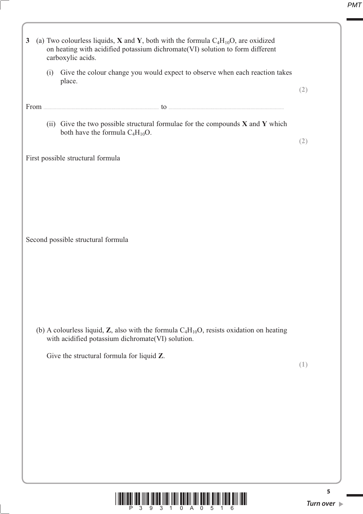| (a) Two colourless liquids, <b>X</b> and <b>Y</b> , both with the formula $C_4H_{10}O$ , are oxidized<br>3<br>on heating with acidified potassium dichromate(VI) solution to form different<br>carboxylic acids. |     |
|------------------------------------------------------------------------------------------------------------------------------------------------------------------------------------------------------------------|-----|
| Give the colour change you would expect to observe when each reaction takes<br>(i)<br>place.                                                                                                                     | (2) |
|                                                                                                                                                                                                                  |     |
| (ii) Give the two possible structural formulae for the compounds $X$ and $Y$ which<br>both have the formula $C_4H_{10}O$ .                                                                                       | (2) |
| First possible structural formula                                                                                                                                                                                |     |
|                                                                                                                                                                                                                  |     |
|                                                                                                                                                                                                                  |     |
| Second possible structural formula                                                                                                                                                                               |     |
|                                                                                                                                                                                                                  |     |
|                                                                                                                                                                                                                  |     |
|                                                                                                                                                                                                                  |     |
| (b) A colourless liquid, Z, also with the formula $C_4H_{10}O$ , resists oxidation on heating<br>with acidified potassium dichromate(VI) solution.                                                               |     |
| Give the structural formula for liquid Z.                                                                                                                                                                        | (1) |
|                                                                                                                                                                                                                  |     |
|                                                                                                                                                                                                                  |     |
|                                                                                                                                                                                                                  |     |
|                                                                                                                                                                                                                  |     |
|                                                                                                                                                                                                                  |     |



**5**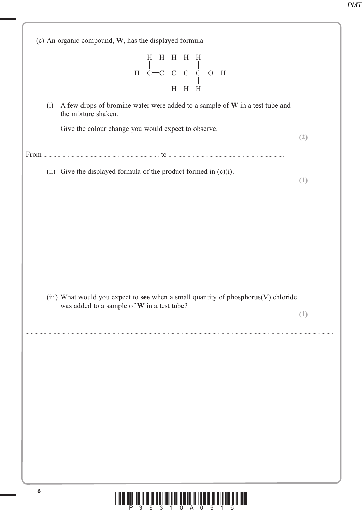| (i) | $\begin{tabular}{c c c} & H & H & H & H & H \\ &   &   &   &   &   \\ H {\rm{---}}C {\rm{---}}C {\rm{---}}C {\rm{---}}C {\rm{---}}C {\rm{---}}D {\rm{---}}H \\ &   &   &   &   \\ \hline \end{tabular}$<br>$H$ $H$ $H$<br>A few drops of bromine water were added to a sample of W in a test tube and<br>the mixture shaken. |     |
|-----|------------------------------------------------------------------------------------------------------------------------------------------------------------------------------------------------------------------------------------------------------------------------------------------------------------------------------|-----|
|     | Give the colour change you would expect to observe.                                                                                                                                                                                                                                                                          | (2) |
|     |                                                                                                                                                                                                                                                                                                                              |     |
|     | (ii) Give the displayed formula of the product formed in $(c)(i)$ .                                                                                                                                                                                                                                                          | (1) |
|     |                                                                                                                                                                                                                                                                                                                              |     |
|     |                                                                                                                                                                                                                                                                                                                              |     |
|     |                                                                                                                                                                                                                                                                                                                              |     |
|     |                                                                                                                                                                                                                                                                                                                              |     |
|     |                                                                                                                                                                                                                                                                                                                              |     |
|     | (iii) What would you expect to see when a small quantity of phosphorus(V) chloride                                                                                                                                                                                                                                           |     |
|     | was added to a sample of W in a test tube?                                                                                                                                                                                                                                                                                   | (1) |
|     |                                                                                                                                                                                                                                                                                                                              |     |
|     |                                                                                                                                                                                                                                                                                                                              |     |
|     |                                                                                                                                                                                                                                                                                                                              |     |
|     |                                                                                                                                                                                                                                                                                                                              |     |
|     |                                                                                                                                                                                                                                                                                                                              |     |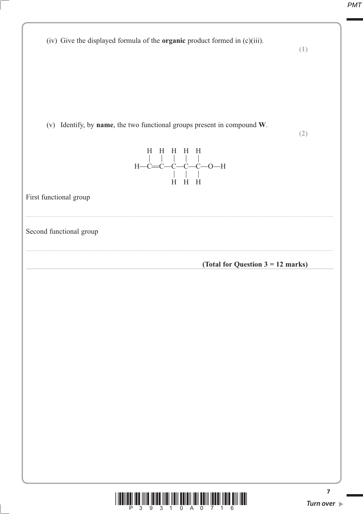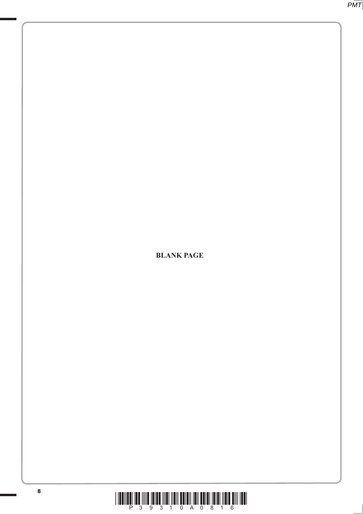**BLANK PAGE**

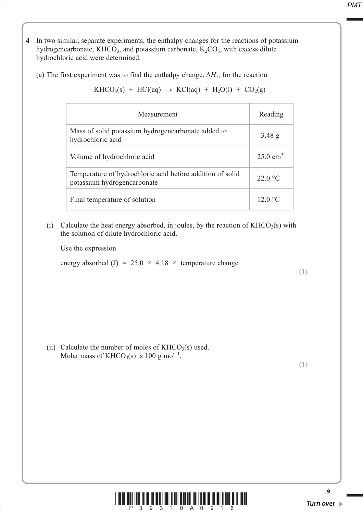- **4** In two similar, separate experiments, the enthalpy changes for the reactions of potassium hydrogencarbonate,  $KHCO<sub>3</sub>$ , and potassium carbonate,  $K<sub>2</sub>CO<sub>3</sub>$ , with excess dilute hydrochloric acid were determined.
	- (a) The first experiment was to find the enthalpy change,  $\Delta H_1$ , for the reaction

| Measurement                                                                              | Reading             |
|------------------------------------------------------------------------------------------|---------------------|
| Mass of solid potassium hydrogencarbonate added to<br>hydrochloric acid                  | $3.48$ g            |
| Volume of hydrochloric acid                                                              | $25.0 \text{ cm}^3$ |
| Temperature of hydrochloric acid before addition of solid<br>potassium hydrogencarbonate | $22.0 \text{ °C}$   |
| Final temperature of solution                                                            | 12.0 °C             |

 $KHCO<sub>3</sub>(s) + HCl(aq) \rightarrow KCl(aq) + H<sub>2</sub>O(l) + CO<sub>2</sub>(g)$ 

(i) Calculate the heat energy absorbed, in joules, by the reaction of  $KHCO<sub>3</sub>(s)$  with the solution of dilute hydrochloric acid.

Use the expression

energy absorbed (J) =  $25.0 \times 4.18 \times$  temperature change

**(1)**

(ii) Calculate the number of moles of  $KHCO<sub>3</sub>(s)$  used. Molar mass of  $KHCO<sub>3</sub>(s)$  is 100 g mol<sup>-1</sup>.

**(1)**



**9**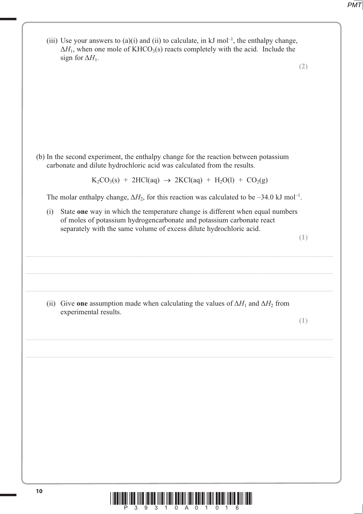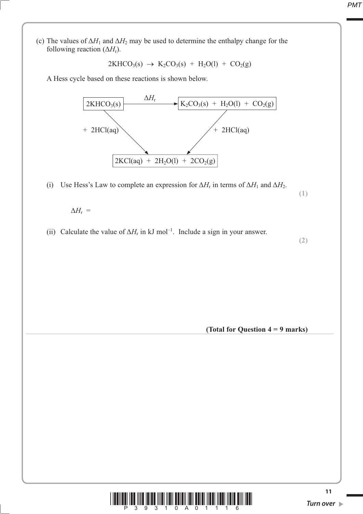*PMT*

(c) The values of  $\Delta H_1$  and  $\Delta H_2$  may be used to determine the enthalpy change for the following reaction  $(\Delta H_r)$ .

$$
2KHCO_3(s) \rightarrow K_2CO_3(s) + H_2O(l) + CO_2(g)
$$

A Hess cycle based on these reactions is shown below.



(i) Use Hess's Law to complete an expression for  $\Delta H_r$  in terms of  $\Delta H_1$  and  $\Delta H_2$ .

$$
(1)
$$

 $\Delta H_{\rm r}$  =

(ii) Calculate the value of  $\Delta H_r$  in kJ mol<sup>-1</sup>. Include a sign in your answer.

**(2)**

 **(Total for Question 4 = 9 marks)**

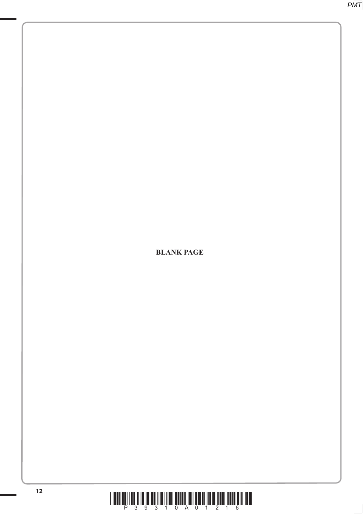**BLANK PAGE** 

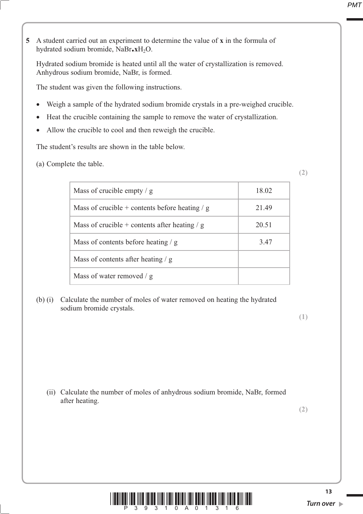*PMT*

**5** A student carried out an experiment to determine the value of **x** in the formula of hydrated sodium bromide, NaBr.xH<sub>2</sub>O.

 Hydrated sodium bromide is heated until all the water of crystallization is removed. Anhydrous sodium bromide, NaBr, is formed.

The student was given the following instructions.

- $\bullet$ Weigh a sample of the hydrated sodium bromide crystals in a pre-weighed crucible.
- $\bullet$ Heat the crucible containing the sample to remove the water of crystallization.
- $\bullet$ Allow the crucible to cool and then reweigh the crucible.

The student's results are shown in the table below.

(a) Complete the table.

| Mass of crucible empty / $g$                     | 18.02 |
|--------------------------------------------------|-------|
| Mass of crucible + contents before heating / $g$ | 21.49 |
| Mass of crucible + contents after heating / $g$  | 20.51 |
| Mass of contents before heating $/g$             | 3.47  |
| Mass of contents after heating $/g$              |       |
| Mass of water removed / g                        |       |

 (b) (i) Calculate the number of moles of water removed on heating the hydrated sodium bromide crystals.

**(1)**

**(2)**

 (ii) Calculate the number of moles of anhydrous sodium bromide, NaBr, formed after heating.

**(2)**

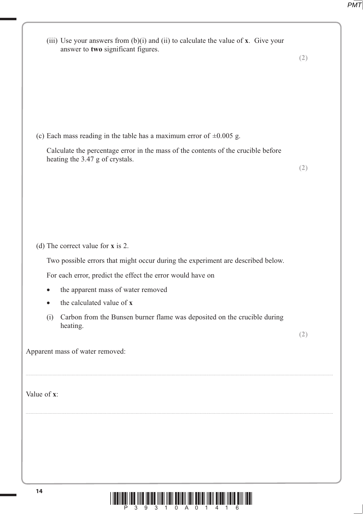| (iii) Use your answers from $(b)(i)$ and (ii) to calculate the value of x. Give your<br>answer to two significant figures.                                                                                                                                                                                                                                                                | (2) |
|-------------------------------------------------------------------------------------------------------------------------------------------------------------------------------------------------------------------------------------------------------------------------------------------------------------------------------------------------------------------------------------------|-----|
| (c) Each mass reading in the table has a maximum error of $\pm 0.005$ g.<br>Calculate the percentage error in the mass of the contents of the crucible before<br>heating the 3.47 g of crystals.                                                                                                                                                                                          | (2) |
| (d) The correct value for $x$ is 2.<br>Two possible errors that might occur during the experiment are described below.<br>For each error, predict the effect the error would have on<br>the apparent mass of water removed<br>the calculated value of x<br>Carbon from the Bunsen burner flame was deposited on the crucible during<br>(i)<br>heating.<br>Apparent mass of water removed: | (2) |
| Value of x:                                                                                                                                                                                                                                                                                                                                                                               |     |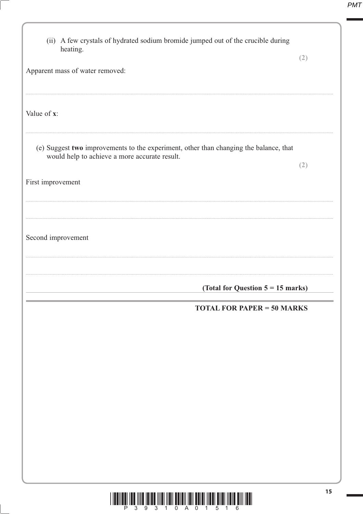| (ii) A few crystals of hydrated sodium bromide jumped out of the crucible during<br>heating.<br>Apparent mass of water removed:        | (2) |
|----------------------------------------------------------------------------------------------------------------------------------------|-----|
| Value of x:                                                                                                                            |     |
| (e) Suggest two improvements to the experiment, other than changing the balance, that<br>would help to achieve a more accurate result. | (2) |
| First improvement                                                                                                                      |     |
| Second improvement                                                                                                                     |     |
| (Total for Question $5 = 15$ marks)                                                                                                    |     |
| <b>TOTAL FOR PAPER = 50 MARKS</b>                                                                                                      |     |
|                                                                                                                                        |     |
|                                                                                                                                        |     |
|                                                                                                                                        |     |
|                                                                                                                                        |     |